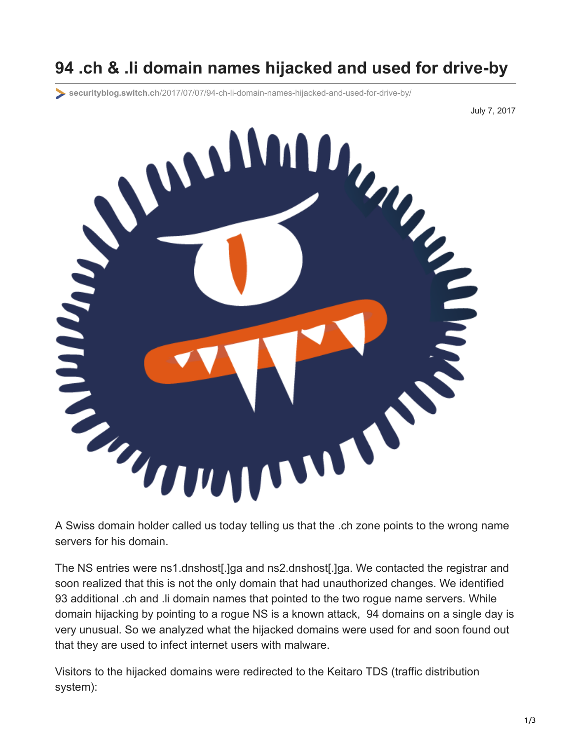# **94 .ch & .li domain names hijacked and used for drive-by**

**securityblog.switch.ch**[/2017/07/07/94-ch-li-domain-names-hijacked-and-used-for-drive-by/](https://securityblog.switch.ch/2017/07/07/94-ch-li-domain-names-hijacked-and-used-for-drive-by/)

July 7, 2017



servers for his domain.

The NS entries were ns1.dnshost[.]ga and ns2.dnshost[.]ga. We contacted the registrar and soon realized that this is not the only domain that had unauthorized changes. We identified 93 additional .ch and .li domain names that pointed to the two rogue name servers. While domain hijacking by pointing to a rogue NS is a known attack, 94 domains on a single day is very unusual. So we analyzed what the hijacked domains were used for and soon found out that they are used to infect internet users with malware.

Visitors to the hijacked domains were redirected to the Keitaro TDS (traffic distribution system):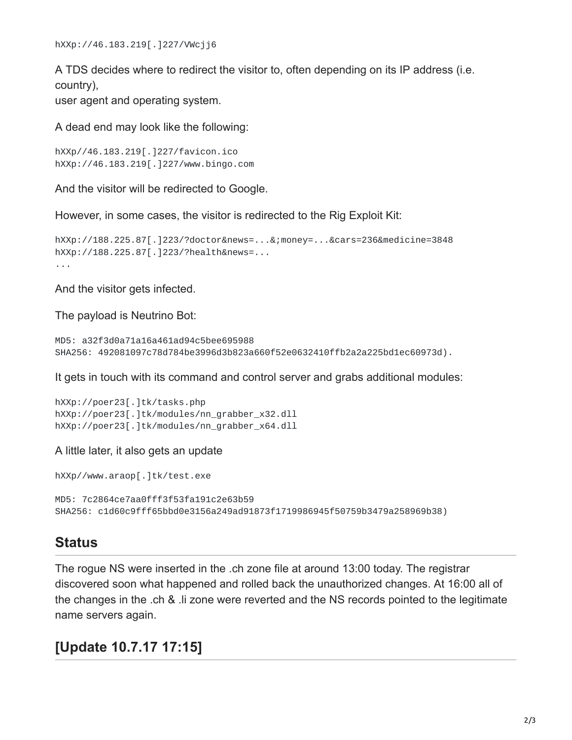A TDS decides where to redirect the visitor to, often depending on its IP address (i.e. country),

user agent and operating system.

A dead end may look like the following:

```
hXXp//46.183.219[.]227/favicon.ico
hXXp://46.183.219[.]227/www.bingo.com
```
And the visitor will be redirected to Google.

However, in some cases, the visitor is redirected to the Rig Exploit Kit:

```
hXXp://188.225.87[.]223/?doctor&news=...&;money=...&cars=236&medicine=3848
hXXp://188.225.87[.]223/?health&news=...
...
```
And the visitor gets infected.

The payload is Neutrino Bot:

```
MD5: a32f3d0a71a16a461ad94c5bee695988
SHA256: 492081097c78d784be3996d3b823a660f52e0632410ffb2a2a225bd1ec60973d).
```
It gets in touch with its command and control server and grabs additional modules:

```
hXXp://poer23[.]tk/tasks.php
hXXp://poer23[.]tk/modules/nn_grabber_x32.dll
hXXp://poer23[.]tk/modules/nn_grabber_x64.dll
```
A little later, it also gets an update

hXXp//www.araop[.]tk/test.exe

```
MD5: 7c2864ce7aa0fff3f53fa191c2e63b59
SHA256: c1d60c9fff65bbd0e3156a249ad91873f1719986945f50759b3479a258969b38)
```
#### **Status**

The rogue NS were inserted in the .ch zone file at around 13:00 today. The registrar discovered soon what happened and rolled back the unauthorized changes. At 16:00 all of the changes in the .ch & .li zone were reverted and the NS records pointed to the legitimate name servers again.

#### **[Update 10.7.17 17:15]**